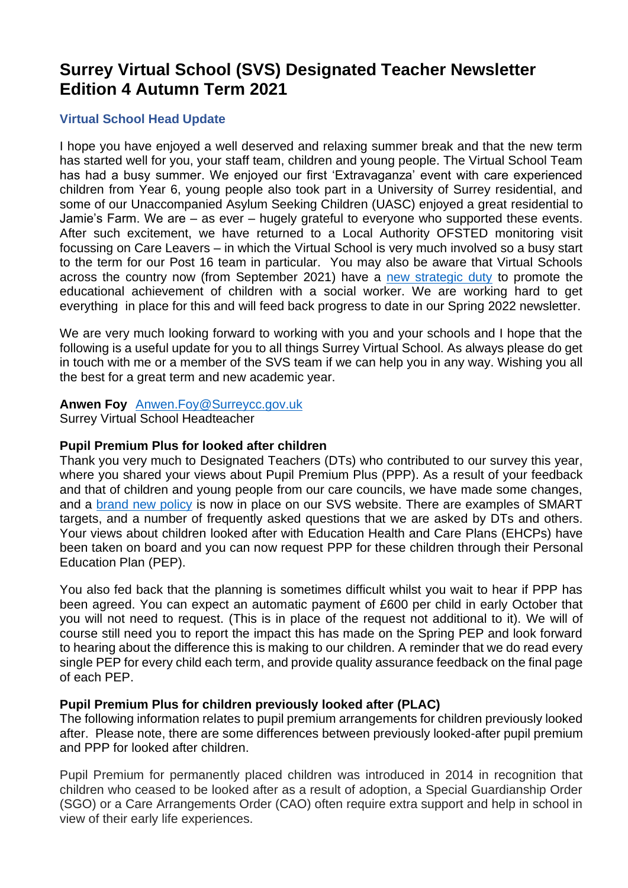# **Surrey Virtual School (SVS) Designated Teacher Newsletter Edition 4 Autumn Term 2021**

## **Virtual School Head Update**

I hope you have enjoyed a well deserved and relaxing summer break and that the new term has started well for you, your staff team, children and young people. The Virtual School Team has had a busy summer. We enjoyed our first 'Extravaganza' event with care experienced children from Year 6, young people also took part in a University of Surrey residential, and some of our Unaccompanied Asylum Seeking Children (UASC) enjoyed a great residential to Jamie's Farm. We are – as ever – hugely grateful to everyone who supported these events. After such excitement, we have returned to a Local Authority OFSTED monitoring visit focussing on Care Leavers – in which the Virtual School is very much involved so a busy start to the term for our Post 16 team in particular. You may also be aware that Virtual Schools across the country now (from September 2021) have a [new strategic duty](https://www.gov.uk/government/publications/virtual-school-head-role-extension-to-children-with-a-social-worker) to promote the educational achievement of children with a social worker. We are working hard to get everything in place for this and will feed back progress to date in our Spring 2022 newsletter.

We are very much looking forward to working with you and your schools and I hope that the following is a useful update for you to all things Surrey Virtual School. As always please do get in touch with me or a member of the SVS team if we can help you in any way. Wishing you all the best for a great term and new academic year.

#### **Anwen Foy** [Anwen.Foy@Surreycc.gov.uk](mailto:Anwen.Foy@Surreycc.gov.uk)

Surrey Virtual School Headteacher

#### **Pupil Premium Plus for looked after children**

Thank you very much to Designated Teachers (DTs) who contributed to our survey this year, where you shared your views about Pupil Premium Plus (PPP). As a result of your feedback and that of children and young people from our care councils, we have made some changes, and a [brand new policy](https://www.surreycc.gov.uk/__data/assets/pdf_file/0019/223282/Surrey-Virtual-School-Pupil-Premium-Plus-policy-2021-2022.pdf) is now in place on our SVS website. There are examples of SMART targets, and a number of frequently asked questions that we are asked by DTs and others. Your views about children looked after with Education Health and Care Plans (EHCPs) have been taken on board and you can now request PPP for these children through their Personal Education Plan (PEP).

You also fed back that the planning is sometimes difficult whilst you wait to hear if PPP has been agreed. You can expect an automatic payment of £600 per child in early October that you will not need to request. (This is in place of the request not additional to it). We will of course still need you to report the impact this has made on the Spring PEP and look forward to hearing about the difference this is making to our children. A reminder that we do read every single PEP for every child each term, and provide quality assurance feedback on the final page of each PEP.

#### **Pupil Premium Plus for children previously looked after (PLAC)**

The following information relates to pupil premium arrangements for children previously looked after. Please note, there are some differences between previously looked-after pupil premium and PPP for looked after children.

Pupil Premium for permanently placed children was introduced in 2014 in recognition that children who ceased to be looked after as a result of adoption, a Special Guardianship Order (SGO) or a Care Arrangements Order (CAO) often require extra support and help in school in view of their early life experiences.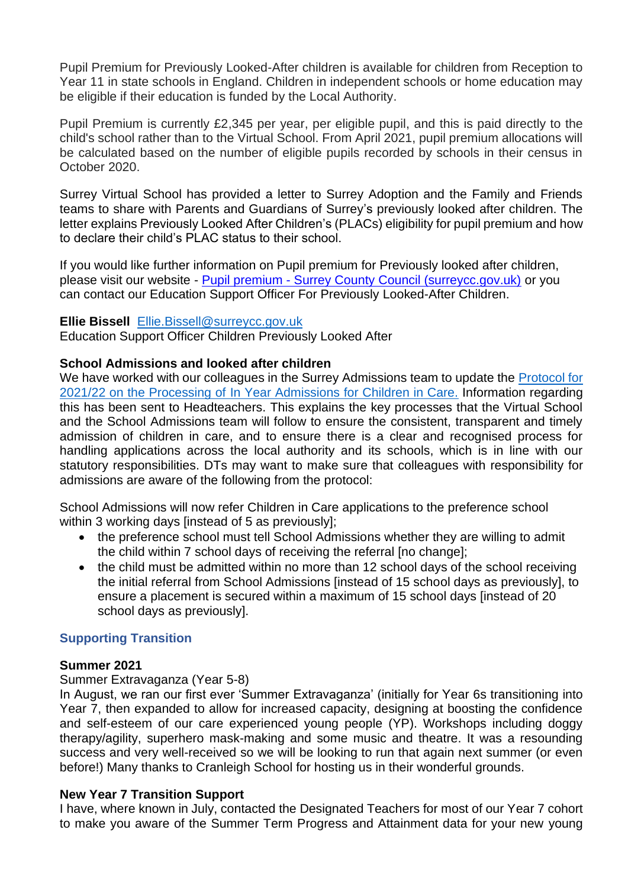Pupil Premium for Previously Looked-After children is available for children from Reception to Year 11 in state schools in England. Children in independent schools or home education may be eligible if their education is funded by the Local Authority.

Pupil Premium is currently £2,345 per year, per eligible pupil, and this is paid directly to the child's school rather than to the Virtual School. From April 2021, pupil premium allocations will be calculated based on the number of eligible pupils recorded by schools in their census in October 2020.

Surrey Virtual School has provided a letter to Surrey Adoption and the Family and Friends teams to share with Parents and Guardians of Surrey's previously looked after children. The letter explains Previously Looked After Children's (PLACs) eligibility for pupil premium and how to declare their child's PLAC status to their school.

If you would like further information on Pupil premium for Previously looked after children, please visit our website - Pupil premium - [Surrey County Council \(surreycc.gov.uk\)](https://www.surreycc.gov.uk/social-care-and-health/children-in-care/svs/young-people/plac/pupil-premium) or you can contact our Education Support Officer For Previously Looked-After Children.

#### **Ellie Bissell** [Ellie.Bissell@surreycc.gov.uk](mailto:Ellie.Bissell@surreycc.gov.uk)

Education Support Officer Children Previously Looked After

#### **School Admissions and looked after children**

We have worked with our colleagues in the Surrey Admissions team to update the Protocol for 2021/22 on the Processing of [In Year Admissions for Children in Care.](https://www.surreycc.gov.uk/__data/assets/pdf_file/0015/12363/Protocol-for-admission-of-children-in-care-2021-22-V1.pdf) Information regarding this has been sent to Headteachers. This explains the key processes that the Virtual School and the School Admissions team will follow to ensure the consistent, transparent and timely admission of children in care, and to ensure there is a clear and recognised process for handling applications across the local authority and its schools, which is in line with our statutory responsibilities. DTs may want to make sure that colleagues with responsibility for admissions are aware of the following from the protocol:

School Admissions will now refer Children in Care applications to the preference school within 3 working days [instead of 5 as previously];

- the preference school must tell School Admissions whether they are willing to admit the child within 7 school days of receiving the referral [no change];
- the child must be admitted within no more than 12 school days of the school receiving the initial referral from School Admissions [instead of 15 school days as previously], to ensure a placement is secured within a maximum of 15 school days [instead of 20 school days as previously].

#### **Supporting Transition**

#### **Summer 2021**

#### Summer Extravaganza (Year 5-8)

In August, we ran our first ever 'Summer Extravaganza' (initially for Year 6s transitioning into Year 7, then expanded to allow for increased capacity, designing at boosting the confidence and self-esteem of our care experienced young people (YP). Workshops including doggy therapy/agility, superhero mask-making and some music and theatre. It was a resounding success and very well-received so we will be looking to run that again next summer (or even before!) Many thanks to Cranleigh School for hosting us in their wonderful grounds.

#### **New Year 7 Transition Support**

I have, where known in July, contacted the Designated Teachers for most of our Year 7 cohort to make you aware of the Summer Term Progress and Attainment data for your new young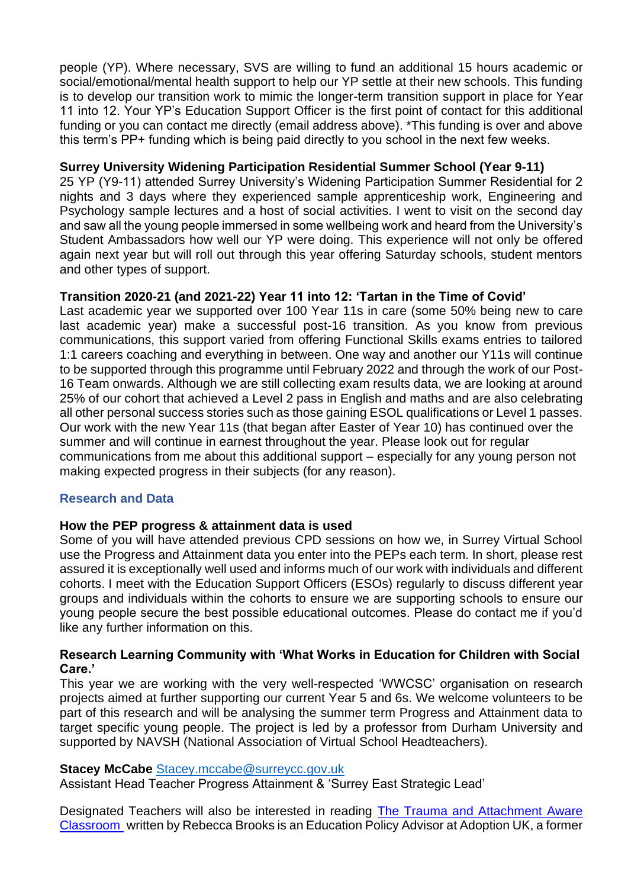people (YP). Where necessary, SVS are willing to fund an additional 15 hours academic or social/emotional/mental health support to help our YP settle at their new schools. This funding is to develop our transition work to mimic the longer-term transition support in place for Year 11 into 12. Your YP's Education Support Officer is the first point of contact for this additional funding or you can contact me directly (email address above). \*This funding is over and above this term's PP+ funding which is being paid directly to you school in the next few weeks.

# **Surrey University Widening Participation Residential Summer School (Year 9-11)**

25 YP (Y9-11) attended Surrey University's Widening Participation Summer Residential for 2 nights and 3 days where they experienced sample apprenticeship work, Engineering and Psychology sample lectures and a host of social activities. I went to visit on the second day and saw all the young people immersed in some wellbeing work and heard from the University's Student Ambassadors how well our YP were doing. This experience will not only be offered again next year but will roll out through this year offering Saturday schools, student mentors and other types of support.

# **Transition 2020-21 (and 2021-22) Year 11 into 12: 'Tartan in the Time of Covid'**

Last academic year we supported over 100 Year 11s in care (some 50% being new to care last academic year) make a successful post-16 transition. As you know from previous communications, this support varied from offering Functional Skills exams entries to tailored 1:1 careers coaching and everything in between. One way and another our Y11s will continue to be supported through this programme until February 2022 and through the work of our Post-16 Team onwards. Although we are still collecting exam results data, we are looking at around 25% of our cohort that achieved a Level 2 pass in English and maths and are also celebrating all other personal success stories such as those gaining ESOL qualifications or Level 1 passes. Our work with the new Year 11s (that began after Easter of Year 10) has continued over the summer and will continue in earnest throughout the year. Please look out for regular communications from me about this additional support – especially for any young person not making expected progress in their subjects (for any reason).

# **Research and Data**

# **How the PEP progress & attainment data is used**

Some of you will have attended previous CPD sessions on how we, in Surrey Virtual School use the Progress and Attainment data you enter into the PEPs each term. In short, please rest assured it is exceptionally well used and informs much of our work with individuals and different cohorts. I meet with the Education Support Officers (ESOs) regularly to discuss different year groups and individuals within the cohorts to ensure we are supporting schools to ensure our young people secure the best possible educational outcomes. Please do contact me if you'd like any further information on this.

## **Research Learning Community with 'What Works in Education for Children with Social Care.'**

This year we are working with the very well-respected 'WWCSC' organisation on research projects aimed at further supporting our current Year 5 and 6s. We welcome volunteers to be part of this research and will be analysing the summer term Progress and Attainment data to target specific young people. The project is led by a professor from Durham University and supported by NAVSH (National Association of Virtual School Headteachers).

# **Stacey McCabe** [Stacey.mccabe@surreycc.gov.uk](mailto:Stacey.mccabe@surreycc.gov.uk)

Assistant Head Teacher Progress Attainment & 'Surrey East Strategic Lead'

Designated Teachers will also be interested in reading **The Trauma and Attachment Aware** [Classroom](https://www.adoptionuk.org/news/the-trauma-and-attachment-aware-classroom) written by Rebecca Brooks is an Education Policy Advisor at Adoption UK, a former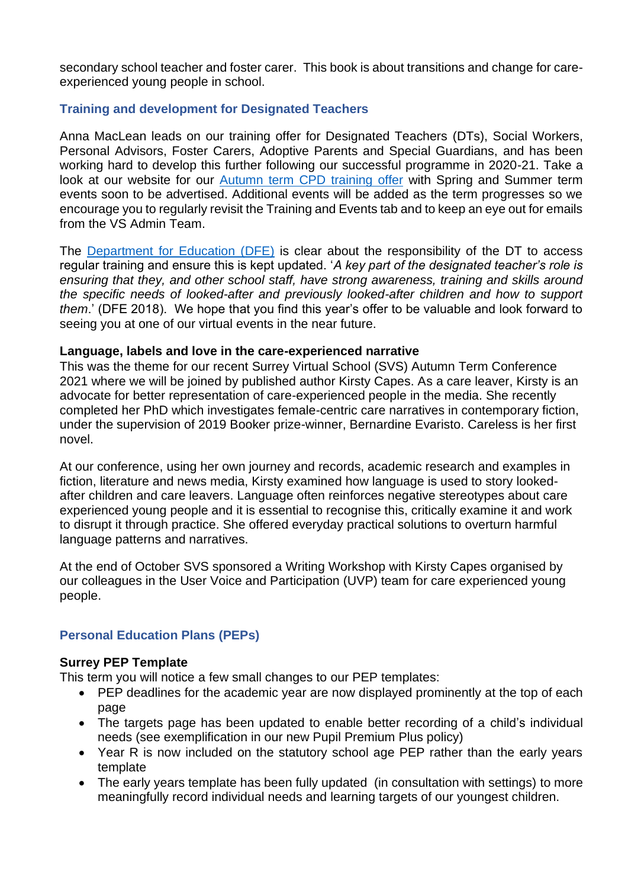secondary school teacher and foster carer. This book is about transitions and change for careexperienced young people in school.

# **Training and development for Designated Teachers**

Anna MacLean leads on our training offer for Designated Teachers (DTs), Social Workers, Personal Advisors, Foster Carers, Adoptive Parents and Special Guardians, and has been working hard to develop this further following our successful programme in 2020-21. Take a look at our website for our [Autumn term CPD training offer](https://www.surreycc.gov.uk/social-care-and-health/children-in-care/svs/events) with Spring and Summer term events soon to be advertised. Additional events will be added as the term progresses so we encourage you to regularly revisit the Training and Events tab and to keep an eye out for emails from the VS Admin Team.

The [Department for Education \(DFE\)](https://assets.publishing.service.gov.uk/government/uploads/system/uploads/attachment_data/file/683561/The_designated_teacher_for_looked-after_and_previously_looked-after_children.pdf) is clear about the responsibility of the DT to access regular training and ensure this is kept updated. '*A key part of the designated teacher's role is ensuring that they, and other school staff, have strong awareness, training and skills around the specific needs of looked-after and previously looked-after children and how to support them*.' (DFE 2018). We hope that you find this year's offer to be valuable and look forward to seeing you at one of our virtual events in the near future.

## **Language, labels and love in the care-experienced narrative**

This was the theme for our recent Surrey Virtual School (SVS) Autumn Term Conference 2021 where we will be joined by published author Kirsty Capes. As a care leaver, Kirsty is an advocate for better representation of care-experienced people in the media. She recently completed her PhD which investigates female-centric care narratives in contemporary fiction, under the supervision of 2019 Booker prize-winner, Bernardine Evaristo. Careless is her first novel.

At our conference, using her own journey and records, academic research and examples in fiction, literature and news media, Kirsty examined how language is used to story lookedafter children and care leavers. Language often reinforces negative stereotypes about care experienced young people and it is essential to recognise this, critically examine it and work to disrupt it through practice. She offered everyday practical solutions to overturn harmful language patterns and narratives.

At the end of October SVS sponsored a Writing Workshop with Kirsty Capes organised by our colleagues in the User Voice and Participation (UVP) team for care experienced young people.

# **Personal Education Plans (PEPs)**

#### **Surrey PEP Template**

This term you will notice a few small changes to our PEP templates:

- PEP deadlines for the academic year are now displayed prominently at the top of each page
- The targets page has been updated to enable better recording of a child's individual needs (see exemplification in our new Pupil Premium Plus policy)
- Year R is now included on the statutory school age PEP rather than the early years template
- The early years template has been fully updated (in consultation with settings) to more meaningfully record individual needs and learning targets of our youngest children.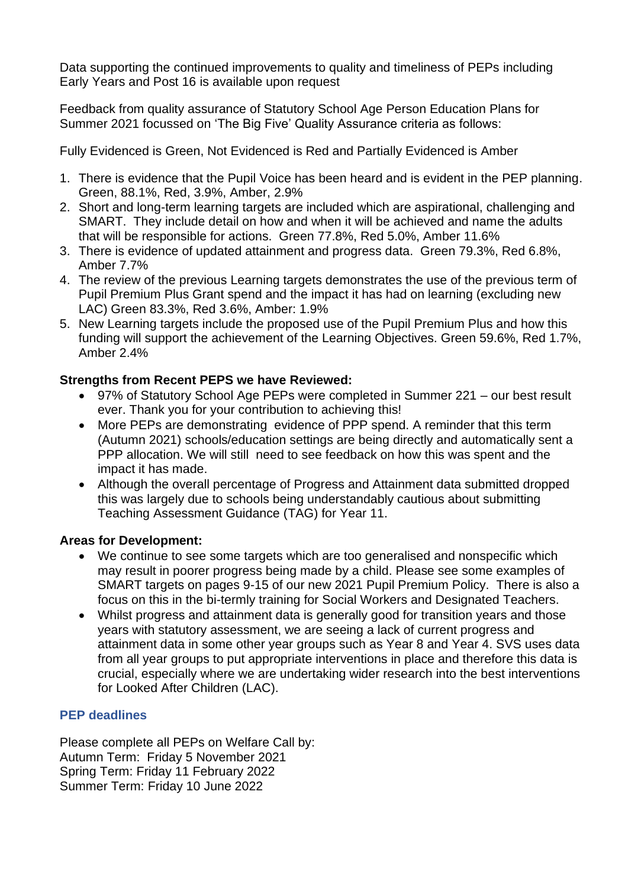Data supporting the continued improvements to quality and timeliness of PEPs including Early Years and Post 16 is available upon request

Feedback from quality assurance of Statutory School Age Person Education Plans for Summer 2021 focussed on 'The Big Five' Quality Assurance criteria as follows:

Fully Evidenced is Green, Not Evidenced is Red and Partially Evidenced is Amber

- 1. There is evidence that the Pupil Voice has been heard and is evident in the PEP planning. Green, 88.1%, Red, 3.9%, Amber, 2.9%
- 2. Short and long-term learning targets are included which are aspirational, challenging and SMART. They include detail on how and when it will be achieved and name the adults that will be responsible for actions. Green 77.8%, Red 5.0%, Amber 11.6%
- 3. There is evidence of updated attainment and progress data. Green 79.3%, Red 6.8%, Amber 7.7%
- 4. The review of the previous Learning targets demonstrates the use of the previous term of Pupil Premium Plus Grant spend and the impact it has had on learning (excluding new LAC) Green 83.3%, Red 3.6%, Amber: 1.9%
- 5. New Learning targets include the proposed use of the Pupil Premium Plus and how this funding will support the achievement of the Learning Objectives. Green 59.6%, Red 1.7%, Amber 2.4%

# **Strengths from Recent PEPS we have Reviewed:**

- 97% of Statutory School Age PEPs were completed in Summer 221 our best result ever. Thank you for your contribution to achieving this!
- More PEPs are demonstrating evidence of PPP spend. A reminder that this term (Autumn 2021) schools/education settings are being directly and automatically sent a PPP allocation. We will still need to see feedback on how this was spent and the impact it has made.
- Although the overall percentage of Progress and Attainment data submitted dropped this was largely due to schools being understandably cautious about submitting Teaching Assessment Guidance (TAG) for Year 11.

# **Areas for Development:**

- We continue to see some targets which are too generalised and nonspecific which may result in poorer progress being made by a child. Please see some examples of SMART targets on pages 9-15 of our new 2021 Pupil Premium Policy. There is also a focus on this in the bi-termly training for Social Workers and Designated Teachers.
- Whilst progress and attainment data is generally good for transition years and those years with statutory assessment, we are seeing a lack of current progress and attainment data in some other year groups such as Year 8 and Year 4. SVS uses data from all year groups to put appropriate interventions in place and therefore this data is crucial, especially where we are undertaking wider research into the best interventions for Looked After Children (LAC).

# **PEP deadlines**

Please complete all PEPs on Welfare Call by: Autumn Term: Friday 5 November 2021 Spring Term: Friday 11 February 2022 Summer Term: Friday 10 June 2022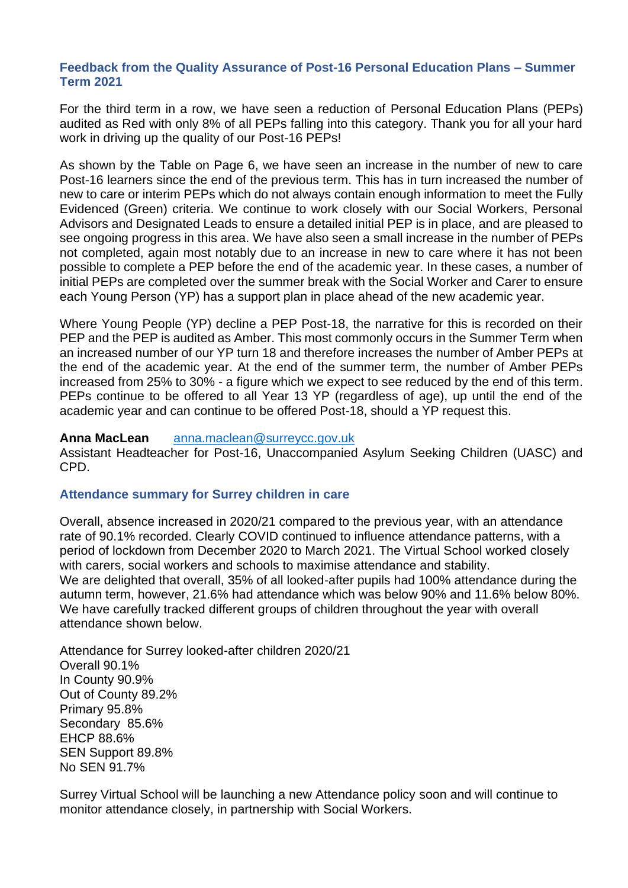#### **Feedback from the Quality Assurance of Post-16 Personal Education Plans – Summer Term 2021**

For the third term in a row, we have seen a reduction of Personal Education Plans (PEPs) audited as Red with only 8% of all PEPs falling into this category. Thank you for all your hard work in driving up the quality of our Post-16 PEPs!

As shown by the Table on Page 6, we have seen an increase in the number of new to care Post-16 learners since the end of the previous term. This has in turn increased the number of new to care or interim PEPs which do not always contain enough information to meet the Fully Evidenced (Green) criteria. We continue to work closely with our Social Workers, Personal Advisors and Designated Leads to ensure a detailed initial PEP is in place, and are pleased to see ongoing progress in this area. We have also seen a small increase in the number of PEPs not completed, again most notably due to an increase in new to care where it has not been possible to complete a PEP before the end of the academic year. In these cases, a number of initial PEPs are completed over the summer break with the Social Worker and Carer to ensure each Young Person (YP) has a support plan in place ahead of the new academic year.

Where Young People (YP) decline a PEP Post-18, the narrative for this is recorded on their PEP and the PEP is audited as Amber. This most commonly occurs in the Summer Term when an increased number of our YP turn 18 and therefore increases the number of Amber PEPs at the end of the academic year. At the end of the summer term, the number of Amber PEPs increased from 25% to 30% - a figure which we expect to see reduced by the end of this term. PEPs continue to be offered to all Year 13 YP (regardless of age), up until the end of the academic year and can continue to be offered Post-18, should a YP request this.

#### **Anna MacLean** [anna.maclean@surreycc.gov.uk](mailto:anna.maclean@surreycc.gov.uk)

Assistant Headteacher for Post-16, Unaccompanied Asylum Seeking Children (UASC) and CPD.

#### **Attendance summary for Surrey children in care**

Overall, absence increased in 2020/21 compared to the previous year, with an attendance rate of 90.1% recorded. Clearly COVID continued to influence attendance patterns, with a period of lockdown from December 2020 to March 2021. The Virtual School worked closely with carers, social workers and schools to maximise attendance and stability. We are delighted that overall, 35% of all looked-after pupils had 100% attendance during the autumn term, however, 21.6% had attendance which was below 90% and 11.6% below 80%. We have carefully tracked different groups of children throughout the year with overall attendance shown below.

Attendance for Surrey looked-after children 2020/21 Overall 90.1% In County 90.9% Out of County 89.2% Primary 95.8% Secondary 85.6% EHCP 88.6% SEN Support 89.8% No SEN 91.7%

Surrey Virtual School will be launching a new Attendance policy soon and will continue to monitor attendance closely, in partnership with Social Workers.